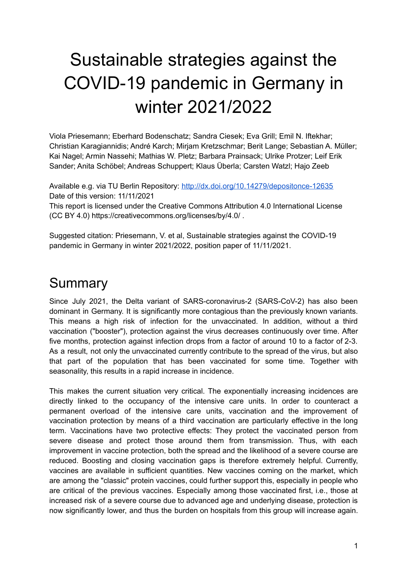# Sustainable strategies against the COVID-19 pandemic in Germany in winter 2021/2022

Viola Priesemann; Eberhard Bodenschatz; Sandra Ciesek; Eva Grill; Emil N. Iftekhar; Christian Karagiannidis; André Karch; Mirjam Kretzschmar; Berit Lange; Sebastian A. Müller; Kai Nagel; Armin Nassehi; Mathias W. Pletz; Barbara Prainsack; Ulrike Protzer; Leif Erik Sander; Anita Schöbel; Andreas Schuppert; Klaus Überla; Carsten Watzl; Hajo Zeeb

Available e.g. via TU Berlin Repository: <http://dx.doi.org/10.14279/depositonce-12635> Date of this version: 11/11/2021

This report is licensed under the Creative Commons Attribution 4.0 International License (CC BY 4.0) https://creativecommons.org/licenses/by/4.0/ .

Suggested citation: Priesemann, V. et al, Sustainable strategies against the COVID-19 pandemic in Germany in winter 2021/2022, position paper of 11/11/2021.

# **Summary**

Since July 2021, the Delta variant of SARS-coronavirus-2 (SARS-CoV-2) has also been dominant in Germany. It is significantly more contagious than the previously known variants. This means a high risk of infection for the unvaccinated. In addition, without a third vaccination ("booster"), protection against the virus decreases continuously over time. After five months, protection against infection drops from a factor of around 10 to a factor of 2-3. As a result, not only the unvaccinated currently contribute to the spread of the virus, but also that part of the population that has been vaccinated for some time. Together with seasonality, this results in a rapid increase in incidence.

This makes the current situation very critical. The exponentially increasing incidences are directly linked to the occupancy of the intensive care units. In order to counteract a permanent overload of the intensive care units, vaccination and the improvement of vaccination protection by means of a third vaccination are particularly effective in the long term. Vaccinations have two protective effects: They protect the vaccinated person from severe disease and protect those around them from transmission. Thus, with each improvement in vaccine protection, both the spread and the likelihood of a severe course are reduced. Boosting and closing vaccination gaps is therefore extremely helpful. Currently, vaccines are available in sufficient quantities. New vaccines coming on the market, which are among the "classic" protein vaccines, could further support this, especially in people who are critical of the previous vaccines. Especially among those vaccinated first, i.e., those at increased risk of a severe course due to advanced age and underlying disease, protection is now significantly lower, and thus the burden on hospitals from this group will increase again.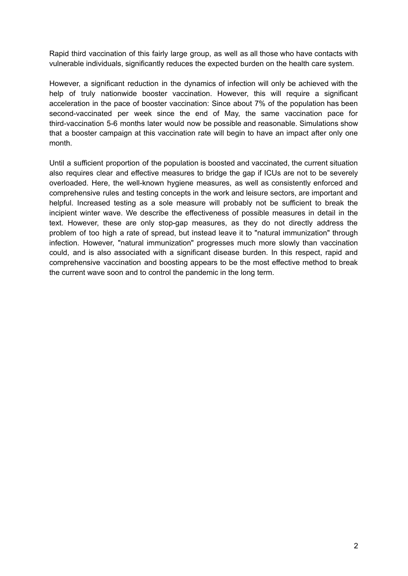Rapid third vaccination of this fairly large group, as well as all those who have contacts with vulnerable individuals, significantly reduces the expected burden on the health care system.

However, a significant reduction in the dynamics of infection will only be achieved with the help of truly nationwide booster vaccination. However, this will require a significant acceleration in the pace of booster vaccination: Since about 7% of the population has been second-vaccinated per week since the end of May, the same vaccination pace for third-vaccination 5-6 months later would now be possible and reasonable. Simulations show that a booster campaign at this vaccination rate will begin to have an impact after only one month.

Until a sufficient proportion of the population is boosted and vaccinated, the current situation also requires clear and effective measures to bridge the gap if ICUs are not to be severely overloaded. Here, the well-known hygiene measures, as well as consistently enforced and comprehensive rules and testing concepts in the work and leisure sectors, are important and helpful. Increased testing as a sole measure will probably not be sufficient to break the incipient winter wave. We describe the effectiveness of possible measures in detail in the text. However, these are only stop-gap measures, as they do not directly address the problem of too high a rate of spread, but instead leave it to "natural immunization" through infection. However, "natural immunization" progresses much more slowly than vaccination could, and is also associated with a significant disease burden. In this respect, rapid and comprehensive vaccination and boosting appears to be the most effective method to break the current wave soon and to control the pandemic in the long term.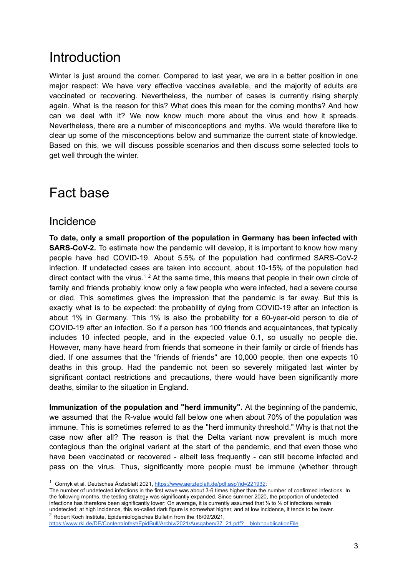# **Introduction**

Winter is just around the corner. Compared to last year, we are in a better position in one major respect: We have very effective vaccines available, and the majority of adults are vaccinated or recovering. Nevertheless, the number of cases is currently rising sharply again. What is the reason for this? What does this mean for the coming months? And how can we deal with it? We now know much more about the virus and how it spreads. Nevertheless, there are a number of misconceptions and myths. We would therefore like to clear up some of the misconceptions below and summarize the current state of knowledge. Based on this, we will discuss possible scenarios and then discuss some selected tools to get well through the winter.

# Fact base

### Incidence

**To date, only a small proportion of the population in Germany has been infected with SARS-CoV-2.** To estimate how the pandemic will develop, it is important to know how many people have had COVID-19. About 5.5% of the population had confirmed SARS-CoV-2 infection. If undetected cases are taken into account, about 10-15% of the population had direct contact with the virus.<sup>12</sup> At the same time, this means that people in their own circle of family and friends probably know only a few people who were infected, had a severe course or died. This sometimes gives the impression that the pandemic is far away. But this is exactly what is to be expected: the probability of dying from COVID-19 after an infection is about 1% in Germany. This 1% is also the probability for a 60-year-old person to die of COVID-19 after an infection. So if a person has 100 friends and acquaintances, that typically includes 10 infected people, and in the expected value 0.1, so usually no people die. However, many have heard from friends that someone in their family or circle of friends has died. If one assumes that the "friends of friends" are 10,000 people, then one expects 10 deaths in this group. Had the pandemic not been so severely mitigated last winter by significant contact restrictions and precautions, there would have been significantly more deaths, similar to the situation in England.

**Immunization of the population and "herd immunity".** At the beginning of the pandemic, we assumed that the R-value would fall below one when about 70% of the population was immune. This is sometimes referred to as the "herd immunity threshold." Why is that not the case now after all? The reason is that the Delta variant now prevalent is much more contagious than the original variant at the start of the pandemic, and that even those who have been vaccinated or recovered - albeit less frequently - can still become infected and pass on the virus. Thus, significantly more people must be immune (whether through

<sup>&</sup>lt;sup>1</sup> Gornyk et al, Deutsches Ärzteblatt 2021, [https://www.aerzteblatt.de/pdf.asp?id=221932:](https://www.aerzteblatt.de/pdf.asp?id=221932)

<sup>2</sup> Robert Koch Institute, Epidemiologisches Bulletin from the 16/09/2021, The number of undetected infections in the first wave was about 3-6 times higher than the number of confirmed infections. In the following months, the testing strategy was significantly expanded. Since summer 2020, the proportion of undetected infections has therefore been significantly lower: On average, it is currently assumed that ⅓ to ½ of infections remain undetected; at high incidence, this so-called dark figure is somewhat higher, and at low incidence, it tends to be lower.

[https://www.rki.de/DE/Content/Infekt/EpidBull/Archiv/2021/Ausgaben/37\\_21.pdf?\\_\\_blob=publicationFile](https://www.rki.de/DE/Content/Infekt/EpidBull/Archiv/2021/Ausgaben/37_21.pdf?__blob=publicationFile)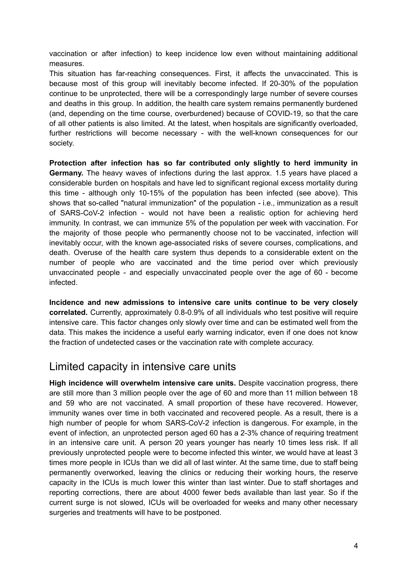vaccination or after infection) to keep incidence low even without maintaining additional measures.

This situation has far-reaching consequences. First, it affects the unvaccinated. This is because most of this group will inevitably become infected. If 20-30% of the population continue to be unprotected, there will be a correspondingly large number of severe courses and deaths in this group. In addition, the health care system remains permanently burdened (and, depending on the time course, overburdened) because of COVID-19, so that the care of all other patients is also limited. At the latest, when hospitals are significantly overloaded, further restrictions will become necessary - with the well-known consequences for our society.

**Protection after infection has so far contributed only slightly to herd immunity in Germany.** The heavy waves of infections during the last approx. 1.5 years have placed a considerable burden on hospitals and have led to significant regional excess mortality during this time - although only 10-15% of the population has been infected (see above). This shows that so-called "natural immunization" of the population - i.e., immunization as a result of SARS-CoV-2 infection - would not have been a realistic option for achieving herd immunity. In contrast, we can immunize 5% of the population per week with vaccination. For the majority of those people who permanently choose not to be vaccinated, infection will inevitably occur, with the known age-associated risks of severe courses, complications, and death. Overuse of the health care system thus depends to a considerable extent on the number of people who are vaccinated and the time period over which previously unvaccinated people - and especially unvaccinated people over the age of 60 - become infected.

**Incidence and new admissions to intensive care units continue to be very closely correlated.** Currently, approximately 0.8-0.9% of all individuals who test positive will require intensive care. This factor changes only slowly over time and can be estimated well from the data. This makes the incidence a useful early warning indicator, even if one does not know the fraction of undetected cases or the vaccination rate with complete accuracy.

### Limited capacity in intensive care units

**High incidence will overwhelm intensive care units.** Despite vaccination progress, there are still more than 3 million people over the age of 60 and more than 11 million between 18 and 59 who are not vaccinated. A small proportion of these have recovered. However, immunity wanes over time in both vaccinated and recovered people. As a result, there is a high number of people for whom SARS-CoV-2 infection is dangerous. For example, in the event of infection, an unprotected person aged 60 has a 2-3% chance of requiring treatment in an intensive care unit. A person 20 years younger has nearly 10 times less risk. If all previously unprotected people were to become infected this winter, we would have at least 3 times more people in ICUs than we did all of last winter. At the same time, due to staff being permanently overworked, leaving the clinics or reducing their working hours, the reserve capacity in the ICUs is much lower this winter than last winter. Due to staff shortages and reporting corrections, there are about 4000 fewer beds available than last year. So if the current surge is not slowed, ICUs will be overloaded for weeks and many other necessary surgeries and treatments will have to be postponed.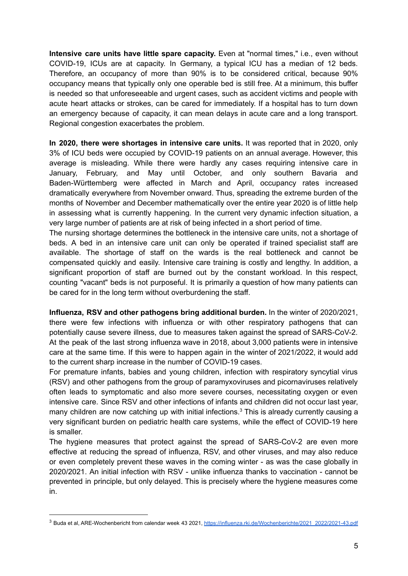**Intensive care units have little spare capacity.** Even at "normal times," i.e., even without COVID-19, ICUs are at capacity. In Germany, a typical ICU has a median of 12 beds. Therefore, an occupancy of more than 90% is to be considered critical, because 90% occupancy means that typically only one operable bed is still free. At a minimum, this buffer is needed so that unforeseeable and urgent cases, such as accident victims and people with acute heart attacks or strokes, can be cared for immediately. If a hospital has to turn down an emergency because of capacity, it can mean delays in acute care and a long transport. Regional congestion exacerbates the problem.

**In 2020, there were shortages in intensive care units.** It was reported that in 2020, only 3% of ICU beds were occupied by COVID-19 patients on an annual average. However, this average is misleading. While there were hardly any cases requiring intensive care in January, February, and May until October, and only southern Bavaria and Baden-Württemberg were affected in March and April, occupancy rates increased dramatically everywhere from November onward. Thus, spreading the extreme burden of the months of November and December mathematically over the entire year 2020 is of little help in assessing what is currently happening. In the current very dynamic infection situation, a very large number of patients are at risk of being infected in a short period of time.

The nursing shortage determines the bottleneck in the intensive care units, not a shortage of beds. A bed in an intensive care unit can only be operated if trained specialist staff are available. The shortage of staff on the wards is the real bottleneck and cannot be compensated quickly and easily. Intensive care training is costly and lengthy. In addition, a significant proportion of staff are burned out by the constant workload. In this respect, counting "vacant" beds is not purposeful. It is primarily a question of how many patients can be cared for in the long term without overburdening the staff.

**Influenza, RSV and other pathogens bring additional burden.** In the winter of 2020/2021, there were few infections with influenza or with other respiratory pathogens that can potentially cause severe illness, due to measures taken against the spread of SARS-CoV-2. At the peak of the last strong influenza wave in 2018, about 3,000 patients were in intensive care at the same time. If this were to happen again in the winter of 2021/2022, it would add to the current sharp increase in the number of COVID-19 cases.

For premature infants, babies and young children, infection with respiratory syncytial virus (RSV) and other pathogens from the group of paramyxoviruses and picornaviruses relatively often leads to symptomatic and also more severe courses, necessitating oxygen or even intensive care. Since RSV and other infections of infants and children did not occur last year, many children are now catching up with initial infections.<sup>3</sup> This is already currently causing a very significant burden on pediatric health care systems, while the effect of COVID-19 here is smaller.

The hygiene measures that protect against the spread of SARS-CoV-2 are even more effective at reducing the spread of influenza, RSV, and other viruses, and may also reduce or even completely prevent these waves in the coming winter - as was the case globally in 2020/2021. An initial infection with RSV - unlike influenza thanks to vaccination - cannot be prevented in principle, but only delayed. This is precisely where the hygiene measures come in.

<sup>&</sup>lt;sup>3</sup> Buda et al, ARE-Wochenbericht from calendar week 43 2021, [https://influenza.rki.de/Wochenberichte/2021\\_2022/2021-43.pdf](https://influenza.rki.de/Wochenberichte/2021_2022/2021-43.pdf)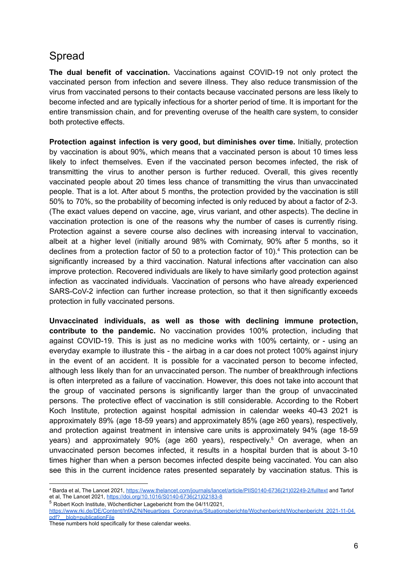### Spread

**The dual benefit of vaccination.** Vaccinations against COVID-19 not only protect the vaccinated person from infection and severe illness. They also reduce transmission of the virus from vaccinated persons to their contacts because vaccinated persons are less likely to become infected and are typically infectious for a shorter period of time. It is important for the entire transmission chain, and for preventing overuse of the health care system, to consider both protective effects.

**Protection against infection is very good, but diminishes over time.** Initially, protection by vaccination is about 90%, which means that a vaccinated person is about 10 times less likely to infect themselves. Even if the vaccinated person becomes infected, the risk of transmitting the virus to another person is further reduced. Overall, this gives recently vaccinated people about 20 times less chance of transmitting the virus than unvaccinated people. That is a lot. After about 5 months, the protection provided by the vaccination is still 50% to 70%, so the probability of becoming infected is only reduced by about a factor of 2-3. (The exact values depend on vaccine, age, virus variant, and other aspects). The decline in vaccination protection is one of the reasons why the number of cases is currently rising. Protection against a severe course also declines with increasing interval to vaccination, albeit at a higher level (initially around 98% with Comirnaty, 90% after 5 months, so it declines from a protection factor of 50 to a protection factor of 10). <sup>4</sup> This protection can be significantly increased by a third vaccination. Natural infections after vaccination can also improve protection. Recovered individuals are likely to have similarly good protection against infection as vaccinated individuals. Vaccination of persons who have already experienced SARS-CoV-2 infection can further increase protection, so that it then significantly exceeds protection in fully vaccinated persons.

**Unvaccinated individuals, as well as those with declining immune protection, contribute to the pandemic.** No vaccination provides 100% protection, including that against COVID-19. This is just as no medicine works with 100% certainty, or - using an everyday example to illustrate this - the airbag in a car does not protect 100% against injury in the event of an accident. It is possible for a vaccinated person to become infected, although less likely than for an unvaccinated person. The number of breakthrough infections is often interpreted as a failure of vaccination. However, this does not take into account that the group of vaccinated persons is significantly larger than the group of unvaccinated persons. The protective effect of vaccination is still considerable. According to the Robert Koch Institute, protection against hospital admission in calendar weeks 40-43 2021 is approximately 89% (age 18-59 years) and approximately 85% (age ≥60 years), respectively, and protection against treatment in intensive care units is approximately 94% (age 18-59 years) and approximately 90% (age ≥60 years), respectively. <sup>5</sup> On average, when an unvaccinated person becomes infected, it results in a hospital burden that is about 3-10 times higher than when a person becomes infected despite being vaccinated. You can also see this in the current incidence rates presented separately by vaccination status. This is

<sup>4</sup> Barda et al, The Lancet 2021, [https://www.thelancet.com/journals/lancet/article/PIIS0140-6736\(21\)02249-2/fulltext](https://www.thelancet.com/journals/lancet/article/PIIS0140-6736(21)02249-2/fulltext) and Tartof et al, The Lancet 2021, [https://doi.org/10.1016/S0140-6736\(21\)02183-8](https://doi.org/10.1016/S0140-6736(21)02183-8)

<sup>5</sup> Robert Koch Institute, Wöchentlicher Lagebericht from the 04/11/2021,

[https://www.rki.de/DE/Content/InfAZ/N/Neuartiges\\_Coronavirus/Situationsberichte/Wochenbericht/Wochenbericht\\_2021-11-04.](https://www.rki.de/DE/Content/InfAZ/N/Neuartiges_Coronavirus/Situationsberichte/Wochenbericht/Wochenbericht_2021-11-04.pdf?__blob=publicationFile) [pdf?\\_\\_blob=publicationFile](https://www.rki.de/DE/Content/InfAZ/N/Neuartiges_Coronavirus/Situationsberichte/Wochenbericht/Wochenbericht_2021-11-04.pdf?__blob=publicationFile)

These numbers hold specifically for these calendar weeks.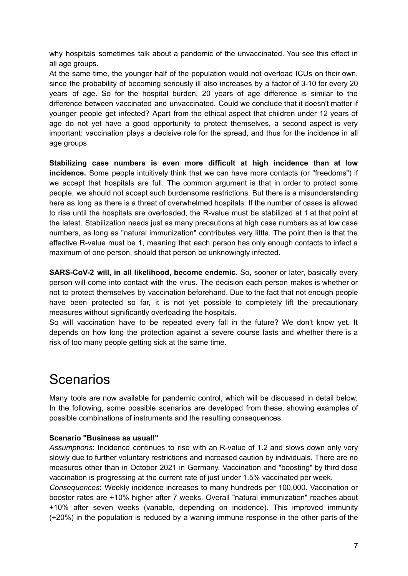why hospitals sometimes talk about a pandemic of the unvaccinated. You see this effect in all age groups.

At the same time, the younger half of the population would not overload ICUs on their own, since the probability of becoming seriously ill also increases by a factor of 3-10 for every 20 years of age. So for the hospital burden, 20 years of age difference is similar to the difference between vaccinated and unvaccinated. Could we conclude that it doesn't matter if younger people get infected? Apart from the ethical aspect that children under 12 years of age do not yet have a good opportunity to protect themselves, a second aspect is very important: vaccination plays a decisive role for the spread, and thus for the incidence in all age groups.

**Stabilizing case numbers is even more difficult at high incidence than at low incidence.** Some people intuitively think that we can have more contacts (or "freedoms") if we accept that hospitals are full. The common argument is that in order to protect some people, we should not accept such burdensome restrictions. But there is a misunderstanding here as long as there is a threat of overwhelmed hospitals. If the number of cases is allowed to rise until the hospitals are overloaded, the R-value must be stabilized at 1 at that point at the latest. Stabilization needs just as many precautions at high case numbers as at low case numbers, as long as "natural immunization" contributes very little. The point then is that the effective R-value must be 1, meaning that each person has only enough contacts to infect a maximum of one person, should that person be unknowingly infected.

**SARS-CoV-2 will, in all likelihood, become endemic.** So, sooner or later, basically every person will come into contact with the virus. The decision each person makes is whether or not to protect themselves by vaccination beforehand. Due to the fact that not enough people have been protected so far, it is not yet possible to completely lift the precautionary measures without significantly overloading the hospitals.

So will vaccination have to be repeated every fall in the future? We don't know yet. It depends on how long the protection against a severe course lasts and whether there is a risk of too many people getting sick at the same time.

# **Scenarios**

Many tools are now available for pandemic control, which will be discussed in detail below. In the following, some possible scenarios are developed from these, showing examples of possible combinations of instruments and the resulting consequences.

#### **Scenario "Business as usual!"**

*Assumptions*: Incidence continues to rise with an R-value of 1.2 and slows down only very slowly due to further voluntary restrictions and increased caution by individuals. There are no measures other than in October 2021 in Germany. Vaccination and "boosting" by third dose vaccination is progressing at the current rate of just under 1.5% vaccinated per week.

*Consequences*: Weekly incidence increases to many hundreds per 100,000. Vaccination or booster rates are +10% higher after 7 weeks. Overall "natural immunization" reaches about +10% after seven weeks (variable, depending on incidence). This improved immunity (+20%) in the population is reduced by a waning immune response in the other parts of the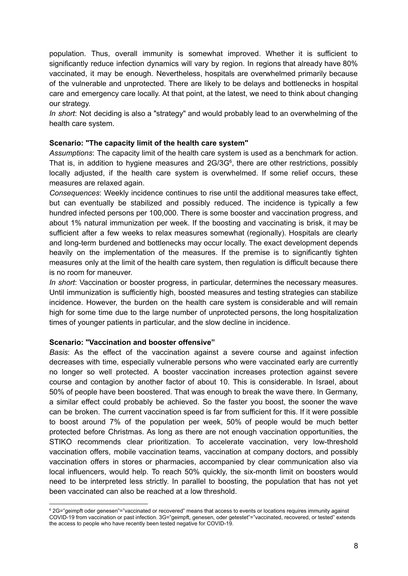population. Thus, overall immunity is somewhat improved. Whether it is sufficient to significantly reduce infection dynamics will vary by region. In regions that already have 80% vaccinated, it may be enough. Nevertheless, hospitals are overwhelmed primarily because of the vulnerable and unprotected. There are likely to be delays and bottlenecks in hospital care and emergency care locally. At that point, at the latest, we need to think about changing our strategy.

*In short*: Not deciding is also a "strategy" and would probably lead to an overwhelming of the health care system.

#### **Scenario: "The capacity limit of the health care system"**

*Assumptions*: The capacity limit of the health care system is used as a benchmark for action. That is, in addition to hygiene measures and  $2G/3G<sup>6</sup>$ , there are other restrictions, possibly locally adjusted, if the health care system is overwhelmed. If some relief occurs, these measures are relaxed again.

*Consequences*: Weekly incidence continues to rise until the additional measures take effect, but can eventually be stabilized and possibly reduced. The incidence is typically a few hundred infected persons per 100,000. There is some booster and vaccination progress, and about 1% natural immunization per week. If the boosting and vaccinating is brisk, it may be sufficient after a few weeks to relax measures somewhat (regionally). Hospitals are clearly and long-term burdened and bottlenecks may occur locally. The exact development depends heavily on the implementation of the measures. If the premise is to significantly tighten measures only at the limit of the health care system, then regulation is difficult because there is no room for maneuver.

*In short*: Vaccination or booster progress, in particular, determines the necessary measures. Until immunization is sufficiently high, boosted measures and testing strategies can stabilize incidence. However, the burden on the health care system is considerable and will remain high for some time due to the large number of unprotected persons, the long hospitalization times of younger patients in particular, and the slow decline in incidence.

#### **Scenario: "Vaccination and booster offensive"**

*Basis*: As the effect of the vaccination against a severe course and against infection decreases with time, especially vulnerable persons who were vaccinated early are currently no longer so well protected. A booster vaccination increases protection against severe course and contagion by another factor of about 10. This is considerable. In Israel, about 50% of people have been boostered. That was enough to break the wave there. In Germany, a similar effect could probably be achieved. So the faster you boost, the sooner the wave can be broken. The current vaccination speed is far from sufficient for this. If it were possible to boost around 7% of the population per week, 50% of people would be much better protected before Christmas. As long as there are not enough vaccination opportunities, the STIKO recommends clear prioritization. To accelerate vaccination, very low-threshold vaccination offers, mobile vaccination teams, vaccination at company doctors, and possibly vaccination offers in stores or pharmacies, accompanied by clear communication also via local influencers, would help. To reach 50% quickly, the six-month limit on boosters would need to be interpreted less strictly. In parallel to boosting, the population that has not yet been vaccinated can also be reached at a low threshold.

<sup>6</sup> 2G="geimpft oder genesen"="vaccinated or recovered" means that access to events or locations requires immunity against COVID-19 from vaccination or past infection. 3G="geimpft, genesen, oder getestet"="vaccinated, recovered, or tested" extends the access to people who have recently been tested negative for COVID-19.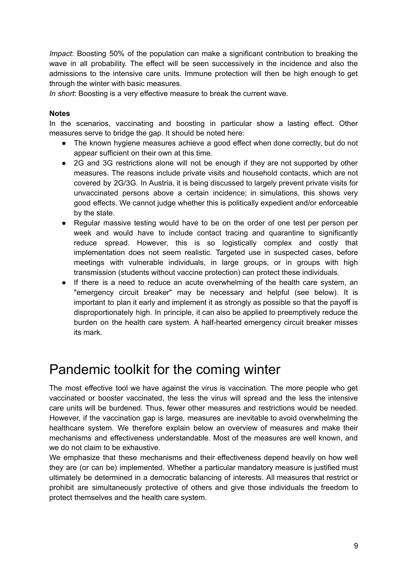*Impact*: Boosting 50% of the population can make a significant contribution to breaking the wave in all probability. The effect will be seen successively in the incidence and also the admissions to the intensive care units. Immune protection will then be high enough to get through the winter with basic measures.

*In short*: Boosting is a very effective measure to break the current wave.

#### **Notes**

In the scenarios, vaccinating and boosting in particular show a lasting effect. Other measures serve to bridge the gap. It should be noted here:

- The known hygiene measures achieve a good effect when done correctly, but do not appear sufficient on their own at this time.
- 2G and 3G restrictions alone will not be enough if they are not supported by other measures. The reasons include private visits and household contacts, which are not covered by 2G/3G. In Austria, it is being discussed to largely prevent private visits for unvaccinated persons above a certain incidence; in simulations, this shows very good effects. We cannot judge whether this is politically expedient and/or enforceable by the state.
- Regular massive testing would have to be on the order of one test per person per week and would have to include contact tracing and quarantine to significantly reduce spread. However, this is so logistically complex and costly that implementation does not seem realistic. Targeted use in suspected cases, before meetings with vulnerable individuals, in large groups, or in groups with high transmission (students without vaccine protection) can protect these individuals.
- If there is a need to reduce an acute overwhelming of the health care system, an "emergency circuit breaker" may be necessary and helpful (see below). It is important to plan it early and implement it as strongly as possible so that the payoff is disproportionately high. In principle, it can also be applied to preemptively reduce the burden on the health care system. A half-hearted emergency circuit breaker misses its mark.

# Pandemic toolkit for the coming winter

The most effective tool we have against the virus is vaccination. The more people who get vaccinated or booster vaccinated, the less the virus will spread and the less the intensive care units will be burdened. Thus, fewer other measures and restrictions would be needed. However, if the vaccination gap is large, measures are inevitable to avoid overwhelming the healthcare system. We therefore explain below an overview of measures and make their mechanisms and effectiveness understandable. Most of the measures are well known, and we do not claim to be exhaustive.

We emphasize that these mechanisms and their effectiveness depend heavily on how well they are (or can be) implemented. Whether a particular mandatory measure is justified must ultimately be determined in a democratic balancing of interests. All measures that restrict or prohibit are simultaneously protective of others and give those individuals the freedom to protect themselves and the health care system.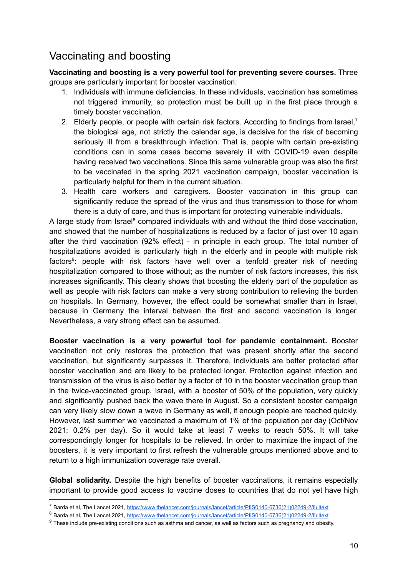### Vaccinating and boosting

**Vaccinating and boosting is a very powerful tool for preventing severe courses.** Three groups are particularly important for booster vaccination:

- 1. Individuals with immune deficiencies. In these individuals, vaccination has sometimes not triggered immunity, so protection must be built up in the first place through a timely booster vaccination.
- 2. Elderly people, or people with certain risk factors. According to findings from Israel,<sup>7</sup> the biological age, not strictly the calendar age, is decisive for the risk of becoming seriously ill from a breakthrough infection. That is, people with certain pre-existing conditions can in some cases become severely ill with COVID-19 even despite having received two vaccinations. Since this same vulnerable group was also the first to be vaccinated in the spring 2021 vaccination campaign, booster vaccination is particularly helpful for them in the current situation.
- 3. Health care workers and caregivers. Booster vaccination in this group can significantly reduce the spread of the virus and thus transmission to those for whom there is a duty of care, and thus is important for protecting vulnerable individuals.

A large study from Israel<sup>8</sup> compared individuals with and without the third dose vaccination, and showed that the number of hospitalizations is reduced by a factor of just over 10 again after the third vaccination (92% effect) - in principle in each group. The total number of hospitalizations avoided is particularly high in the elderly and in people with multiple risk factors<sup>9</sup>: people with risk factors have well over a tenfold greater risk of needing hospitalization compared to those without; as the number of risk factors increases, this risk increases significantly. This clearly shows that boosting the elderly part of the population as well as people with risk factors can make a very strong contribution to relieving the burden on hospitals. In Germany, however, the effect could be somewhat smaller than in Israel, because in Germany the interval between the first and second vaccination is longer. Nevertheless, a very strong effect can be assumed.

**Booster vaccination is a very powerful tool for pandemic containment.** Booster vaccination not only restores the protection that was present shortly after the second vaccination, but significantly surpasses it. Therefore, individuals are better protected after booster vaccination and are likely to be protected longer. Protection against infection and transmission of the virus is also better by a factor of 10 in the booster vaccination group than in the twice-vaccinated group. Israel, with a booster of 50% of the population, very quickly and significantly pushed back the wave there in August. So a consistent booster campaign can very likely slow down a wave in Germany as well, if enough people are reached quickly. However, last summer we vaccinated a maximum of 1% of the population per day (Oct/Nov 2021: 0.2% per day). So it would take at least 7 weeks to reach 50%. It will take correspondingly longer for hospitals to be relieved. In order to maximize the impact of the boosters, it is very important to first refresh the vulnerable groups mentioned above and to return to a high immunization coverage rate overall.

**Global solidarity.** Despite the high benefits of booster vaccinations, it remains especially important to provide good access to vaccine doses to countries that do not yet have high

<sup>7</sup> Barda et al, The Lancet 2021, [https://www.thelancet.com/journals/lancet/article/PIIS0140-6736\(21\)02249-2/fulltext](https://www.thelancet.com/journals/lancet/article/PIIS0140-6736(21)02249-2/fulltext)

<sup>&</sup>lt;sup>8</sup> Barda et al, The Lancet 2021, [https://www.thelancet.com/journals/lancet/article/PIIS0140-6736\(21\)02249-2/fulltext](https://www.thelancet.com/journals/lancet/article/PIIS0140-6736(21)02249-2/fulltext)

 $9$  These include pre-existing conditions such as asthma and cancer, as well as factors such as pregnancy and obesity.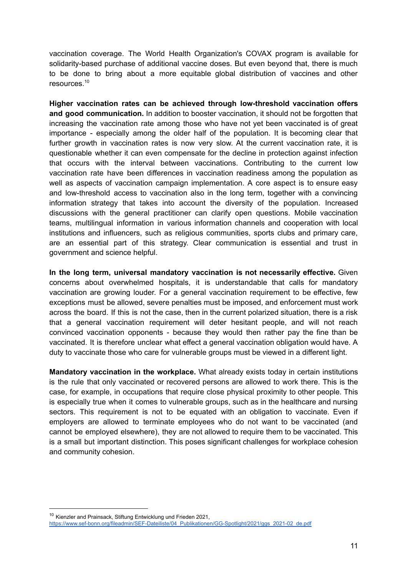vaccination coverage. The World Health Organization's COVAX program is available for solidarity-based purchase of additional vaccine doses. But even beyond that, there is much to be done to bring about a more equitable global distribution of vaccines and other resources. 10

**Higher vaccination rates can be achieved through low-threshold vaccination offers and good communication.** In addition to booster vaccination, it should not be forgotten that increasing the vaccination rate among those who have not yet been vaccinated is of great importance - especially among the older half of the population. It is becoming clear that further growth in vaccination rates is now very slow. At the current vaccination rate, it is questionable whether it can even compensate for the decline in protection against infection that occurs with the interval between vaccinations. Contributing to the current low vaccination rate have been differences in vaccination readiness among the population as well as aspects of vaccination campaign implementation. A core aspect is to ensure easy and low-threshold access to vaccination also in the long term, together with a convincing information strategy that takes into account the diversity of the population. Increased discussions with the general practitioner can clarify open questions. Mobile vaccination teams, multilingual information in various information channels and cooperation with local institutions and influencers, such as religious communities, sports clubs and primary care, are an essential part of this strategy. Clear communication is essential and trust in government and science helpful.

**In the long term, universal mandatory vaccination is not necessarily effective.** Given concerns about overwhelmed hospitals, it is understandable that calls for mandatory vaccination are growing louder. For a general vaccination requirement to be effective, few exceptions must be allowed, severe penalties must be imposed, and enforcement must work across the board. If this is not the case, then in the current polarized situation, there is a risk that a general vaccination requirement will deter hesitant people, and will not reach convinced vaccination opponents - because they would then rather pay the fine than be vaccinated. It is therefore unclear what effect a general vaccination obligation would have. A duty to vaccinate those who care for vulnerable groups must be viewed in a different light.

**Mandatory vaccination in the workplace.** What already exists today in certain institutions is the rule that only vaccinated or recovered persons are allowed to work there. This is the case, for example, in occupations that require close physical proximity to other people. This is especially true when it comes to vulnerable groups, such as in the healthcare and nursing sectors. This requirement is not to be equated with an obligation to vaccinate. Even if employers are allowed to terminate employees who do not want to be vaccinated (and cannot be employed elsewhere), they are not allowed to require them to be vaccinated. This is a small but important distinction. This poses significant challenges for workplace cohesion and community cohesion.

<sup>&</sup>lt;sup>10</sup> Kienzler and Prainsack, Stiftung Entwicklung und Frieden 2021,

[https://www.sef-bonn.org/fileadmin/SEF-Dateiliste/04\\_Publikationen/GG-Spotlight/2021/ggs\\_2021-02\\_de.pdf](https://www.sef-bonn.org/fileadmin/SEF-Dateiliste/04_Publikationen/GG-Spotlight/2021/ggs_2021-02_de.pdf)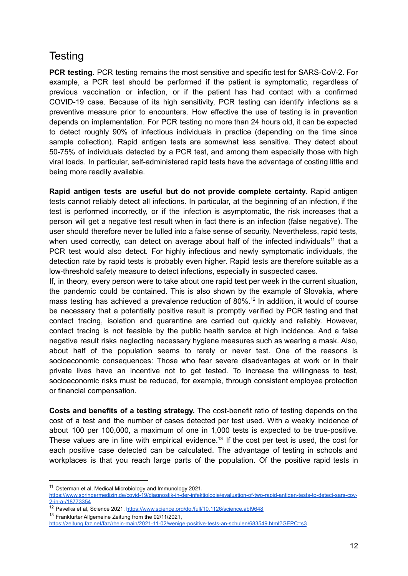### **Testing**

**PCR testing.** PCR testing remains the most sensitive and specific test for SARS-CoV-2. For example, a PCR test should be performed if the patient is symptomatic, regardless of previous vaccination or infection, or if the patient has had contact with a confirmed COVID-19 case. Because of its high sensitivity, PCR testing can identify infections as a preventive measure prior to encounters. How effective the use of testing is in prevention depends on implementation. For PCR testing no more than 24 hours old, it can be expected to detect roughly 90% of infectious individuals in practice (depending on the time since sample collection). Rapid antigen tests are somewhat less sensitive. They detect about 50-75% of individuals detected by a PCR test, and among them especially those with high viral loads. In particular, self-administered rapid tests have the advantage of costing little and being more readily available.

**Rapid antigen tests are useful but do not provide complete certainty.** Rapid antigen tests cannot reliably detect all infections. In particular, at the beginning of an infection, if the test is performed incorrectly, or if the infection is asymptomatic, the risk increases that a person will get a negative test result when in fact there is an infection (false negative). The user should therefore never be lulled into a false sense of security. Nevertheless, rapid tests, when used correctly, can detect on average about half of the infected individuals<sup>11</sup> that a PCR test would also detect. For highly infectious and newly symptomatic individuals, the detection rate by rapid tests is probably even higher. Rapid tests are therefore suitable as a low-threshold safety measure to detect infections, especially in suspected cases.

If, in theory, every person were to take about one rapid test per week in the current situation, the pandemic could be contained. This is also shown by the example of Slovakia, where mass testing has achieved a prevalence reduction of 80%. 12 In addition, it would of course be necessary that a potentially positive result is promptly verified by PCR testing and that contact tracing, isolation and quarantine are carried out quickly and reliably. However, contact tracing is not feasible by the public health service at high incidence. And a false negative result risks neglecting necessary hygiene measures such as wearing a mask. Also, about half of the population seems to rarely or never test. One of the reasons is socioeconomic consequences: Those who fear severe disadvantages at work or in their private lives have an incentive not to get tested. To increase the willingness to test, socioeconomic risks must be reduced, for example, through consistent employee protection or financial compensation.

**Costs and benefits of a testing strategy.** The cost-benefit ratio of testing depends on the cost of a test and the number of cases detected per test used. With a weekly incidence of about 100 per 100,000, a maximum of one in 1,000 tests is expected to be true-positive. These values are in line with empirical evidence.<sup>13</sup> If the cost per test is used, the cost for each positive case detected can be calculated. The advantage of testing in schools and workplaces is that you reach large parts of the population. Of the positive rapid tests in

<sup>11</sup> Osterman et al, Medical Microbiology and Immunology 2021, [https://www.springermedizin.de/covid-19/diagnostik-in-der-infektiologie/evaluation-of-two-rapid-antigen-tests-to-detect-sars-cov-](https://www.springermedizin.de/covid-19/diagnostik-in-der-infektiologie/evaluation-of-two-rapid-antigen-tests-to-detect-sars-cov-2-in-a-/18773354)[2-in-a-/18773354](https://www.springermedizin.de/covid-19/diagnostik-in-der-infektiologie/evaluation-of-two-rapid-antigen-tests-to-detect-sars-cov-2-in-a-/18773354)

<sup>12</sup> Pavelka et al. Science 2021, <https://www.science.org/doi/full/10.1126/science.abf9648>

<sup>&</sup>lt;sup>13</sup> Frankfurter Allgemeine Zeitung from the 02/11/2021,

<https://zeitung.faz.net/faz/rhein-main/2021-11-02/wenige-positive-tests-an-schulen/683549.html?GEPC=s3>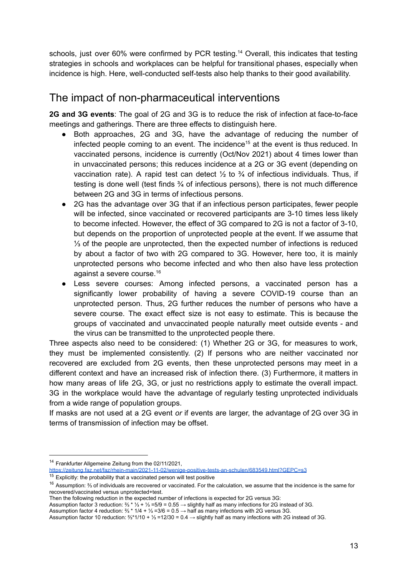schools, just over 60% were confirmed by PCR testing.<sup>14</sup> Overall, this indicates that testing strategies in schools and workplaces can be helpful for transitional phases, especially when incidence is high. Here, well-conducted self-tests also help thanks to their good availability.

### The impact of non-pharmaceutical interventions

**2G and 3G events**: The goal of 2G and 3G is to reduce the risk of infection at face-to-face meetings and gatherings. There are three effects to distinguish here.

- Both approaches, 2G and 3G, have the advantage of reducing the number of infected people coming to an event. The incidence <sup>15</sup> at the event is thus reduced. In vaccinated persons, incidence is currently (Oct/Nov 2021) about 4 times lower than in unvaccinated persons; this reduces incidence at a 2G or 3G event (depending on vaccination rate). A rapid test can detect  $\frac{1}{2}$  to  $\frac{3}{4}$  of infectious individuals. Thus, if testing is done well (test finds ¾ of infectious persons), there is not much difference between 2G and 3G in terms of infectious persons.
- 2G has the advantage over 3G that if an infectious person participates, fewer people will be infected, since vaccinated or recovered participants are 3-10 times less likely to become infected. However, the effect of 3G compared to 2G is not a factor of 3-10, but depends on the proportion of unprotected people at the event. If we assume that ⅓ of the people are unprotected, then the expected number of infections is reduced by about a factor of two with 2G compared to 3G. However, here too, it is mainly unprotected persons who become infected and who then also have less protection against a severe course. 16
- Less severe courses: Among infected persons, a vaccinated person has a significantly lower probability of having a severe COVID-19 course than an unprotected person. Thus, 2G further reduces the number of persons who have a severe course. The exact effect size is not easy to estimate. This is because the groups of vaccinated and unvaccinated people naturally meet outside events - and the virus can be transmitted to the unprotected people there.

Three aspects also need to be considered: (1) Whether 2G or 3G, for measures to work, they must be implemented consistently. (2) If persons who are neither vaccinated nor recovered are excluded from 2G events, then these unprotected persons may meet in a different context and have an increased risk of infection there. (3) Furthermore, it matters in how many areas of life 2G, 3G, or just no restrictions apply to estimate the overall impact. 3G in the workplace would have the advantage of regularly testing unprotected individuals from a wide range of population groups.

If masks are not used at a 2G event *or* if events are larger, the advantage of 2G over 3G in terms of transmission of infection may be offset.

Assumption factor 3 reduction: ⅔ \* ⅓ + ⅓ =5/9 = 0.55 → slightly half as many infections for 2G instead of 3G.

<sup>14</sup> Frankfurter Allgemeine Zeitung from the 02/11/2021,

<https://zeitung.faz.net/faz/rhein-main/2021-11-02/wenige-positive-tests-an-schulen/683549.html?GEPC=s3>

 $15$  Explicitly: the probability that a vaccinated person will test positive

<sup>16</sup> Assumption: ⅔ of individuals are recovered or vaccinated. For the calculation, we assume that the incidence is the same for recovered/vaccinated versus unprotected+test.

Then the following reduction in the expected number of infections is expected for 2G versus 3G:

Assumption factor 4 reduction: ⅔ \* 1/4 + ⅓ =3/6 = 0.5 → half as many infections with 2G versus 3G.

Assumption factor 10 reduction: ⅔\*1/10 + ⅓ =12/30 = 0.4 → slightly half as many infections with 2G instead of 3G.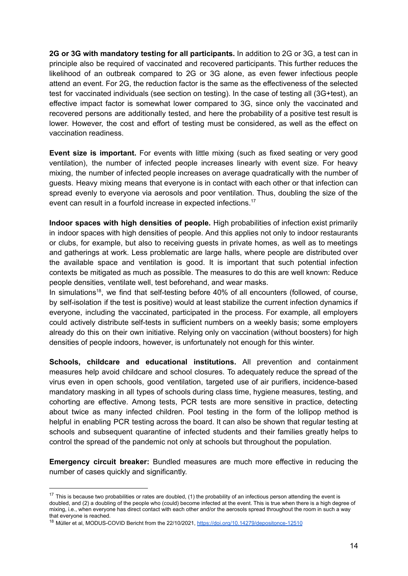**2G or 3G with mandatory testing for all participants.** In addition to 2G or 3G, a test can in principle also be required of vaccinated and recovered participants. This further reduces the likelihood of an outbreak compared to 2G or 3G alone, as even fewer infectious people attend an event. For 2G, the reduction factor is the same as the effectiveness of the selected test for vaccinated individuals (see section on testing). In the case of testing all (3G+test), an effective impact factor is somewhat lower compared to 3G, since only the vaccinated and recovered persons are additionally tested, and here the probability of a positive test result is lower. However, the cost and effort of testing must be considered, as well as the effect on vaccination readiness.

**Event size is important.** For events with little mixing (such as fixed seating or very good ventilation), the number of infected people increases linearly with event size. For heavy mixing, the number of infected people increases on average quadratically with the number of guests. Heavy mixing means that everyone is in contact with each other or that infection can spread evenly to everyone via aerosols and poor ventilation. Thus, doubling the size of the event can result in a fourfold increase in expected infections.<sup>17</sup>

**Indoor spaces with high densities of people.** High probabilities of infection exist primarily in indoor spaces with high densities of people. And this applies not only to indoor restaurants or clubs, for example, but also to receiving guests in private homes, as well as to meetings and gatherings at work. Less problematic are large halls, where people are distributed over the available space and ventilation is good. It is important that such potential infection contexts be mitigated as much as possible. The measures to do this are well known: Reduce people densities, ventilate well, test beforehand, and wear masks.

In simulations<sup>18</sup>, we find that self-testing before 40% of all encounters (followed, of course, by self-isolation if the test is positive) would at least stabilize the current infection dynamics if everyone, including the vaccinated, participated in the process. For example, all employers could actively distribute self-tests in sufficient numbers on a weekly basis; some employers already do this on their own initiative. Relying only on vaccination (without boosters) for high densities of people indoors, however, is unfortunately not enough for this winter.

**Schools, childcare and educational institutions.** All prevention and containment measures help avoid childcare and school closures. To adequately reduce the spread of the virus even in open schools, good ventilation, targeted use of air purifiers, incidence-based mandatory masking in all types of schools during class time, hygiene measures, testing, and cohorting are effective. Among tests, PCR tests are more sensitive in practice, detecting about twice as many infected children. Pool testing in the form of the lollipop method is helpful in enabling PCR testing across the board. It can also be shown that regular testing at schools and subsequent quarantine of infected students and their families greatly helps to control the spread of the pandemic not only at schools but throughout the population.

**Emergency circuit breaker:** Bundled measures are much more effective in reducing the number of cases quickly and significantly.

 $17$  This is because two probabilities or rates are doubled, (1) the probability of an infectious person attending the event is doubled, and (2) a doubling of the people who (could) become infected at the event. This is true when there is a high degree of mixing, i.e., when everyone has direct contact with each other and/or the aerosols spread throughout the room in such a way that everyone is reached.

<sup>&</sup>lt;sup>18</sup> Müller et al, MODUS-COVID Bericht from the 22/10/2021, <https://doi.org/10.14279/depositonce-12510>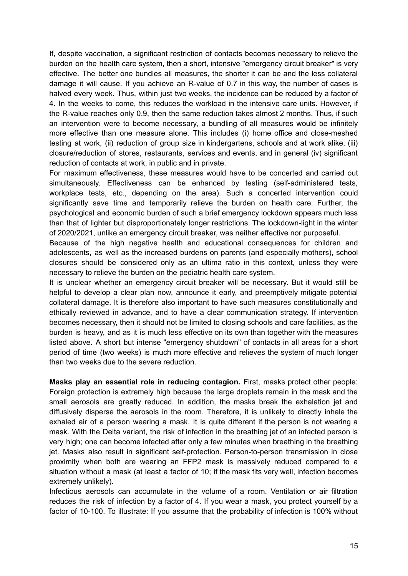If, despite vaccination, a significant restriction of contacts becomes necessary to relieve the burden on the health care system, then a short, intensive "emergency circuit breaker" is very effective. The better one bundles all measures, the shorter it can be and the less collateral damage it will cause. If you achieve an R-value of 0.7 in this way, the number of cases is halved every week. Thus, within just two weeks, the incidence can be reduced by a factor of 4. In the weeks to come, this reduces the workload in the intensive care units. However, if the R-value reaches only 0.9, then the same reduction takes almost 2 months. Thus, if such an intervention were to become necessary, a bundling of all measures would be infinitely more effective than one measure alone. This includes (i) home office and close-meshed testing at work, (ii) reduction of group size in kindergartens, schools and at work alike, (iii) closure/reduction of stores, restaurants, services and events, and in general (iv) significant reduction of contacts at work, in public and in private.

For maximum effectiveness, these measures would have to be concerted and carried out simultaneously. Effectiveness can be enhanced by testing (self-administered tests, workplace tests, etc., depending on the area). Such a concerted intervention could significantly save time and temporarily relieve the burden on health care. Further, the psychological and economic burden of such a brief emergency lockdown appears much less than that of lighter but disproportionately longer restrictions. The lockdown-light in the winter of 2020/2021, unlike an emergency circuit breaker, was neither effective nor purposeful.

Because of the high negative health and educational consequences for children and adolescents, as well as the increased burdens on parents (and especially mothers), school closures should be considered only as an ultima ratio in this context, unless they were necessary to relieve the burden on the pediatric health care system.

It is unclear whether an emergency circuit breaker will be necessary. But it would still be helpful to develop a clear plan now, announce it early, and preemptively mitigate potential collateral damage. It is therefore also important to have such measures constitutionally and ethically reviewed in advance, and to have a clear communication strategy. If intervention becomes necessary, then it should not be limited to closing schools and care facilities, as the burden is heavy, and as it is much less effective on its own than together with the measures listed above. A short but intense "emergency shutdown" of contacts in all areas for a short period of time (two weeks) is much more effective and relieves the system of much longer than two weeks due to the severe reduction.

**Masks play an essential role in reducing contagion.** First, masks protect other people: Foreign protection is extremely high because the large droplets remain in the mask and the small aerosols are greatly reduced. In addition, the masks break the exhalation jet and diffusively disperse the aerosols in the room. Therefore, it is unlikely to directly inhale the exhaled air of a person wearing a mask. It is quite different if the person is not wearing a mask. With the Delta variant, the risk of infection in the breathing jet of an infected person is very high; one can become infected after only a few minutes when breathing in the breathing jet. Masks also result in significant self-protection. Person-to-person transmission in close proximity when both are wearing an FFP2 mask is massively reduced compared to a situation without a mask (at least a factor of 10; if the mask fits very well, infection becomes extremely unlikely).

Infectious aerosols can accumulate in the volume of a room. Ventilation or air filtration reduces the risk of infection by a factor of 4. If you wear a mask, you protect yourself by a factor of 10-100. To illustrate: If you assume that the probability of infection is 100% without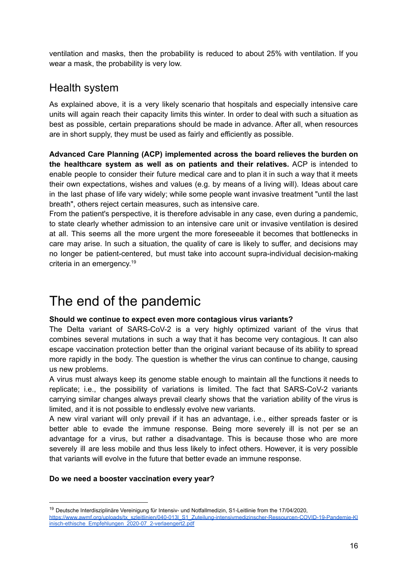ventilation and masks, then the probability is reduced to about 25% with ventilation. If you wear a mask, the probability is very low.

### Health system

As explained above, it is a very likely scenario that hospitals and especially intensive care units will again reach their capacity limits this winter. In order to deal with such a situation as best as possible, certain preparations should be made in advance. After all, when resources are in short supply, they must be used as fairly and efficiently as possible.

**Advanced Care Planning (ACP) implemented across the board relieves the burden on the healthcare system as well as on patients and their relatives.** ACP is intended to enable people to consider their future medical care and to plan it in such a way that it meets their own expectations, wishes and values (e.g. by means of a living will). Ideas about care in the last phase of life vary widely; while some people want invasive treatment "until the last breath", others reject certain measures, such as intensive care.

From the patient's perspective, it is therefore advisable in any case, even during a pandemic, to state clearly whether admission to an intensive care unit or invasive ventilation is desired at all. This seems all the more urgent the more foreseeable it becomes that bottlenecks in care may arise. In such a situation, the quality of care is likely to suffer, and decisions may no longer be patient-centered, but must take into account supra-individual decision-making criteria in an emergency. 19

# The end of the pandemic

#### **Should we continue to expect even more contagious virus variants?**

The Delta variant of SARS-CoV-2 is a very highly optimized variant of the virus that combines several mutations in such a way that it has become very contagious. It can also escape vaccination protection better than the original variant because of its ability to spread more rapidly in the body. The question is whether the virus can continue to change, causing us new problems.

A virus must always keep its genome stable enough to maintain all the functions it needs to replicate; i.e., the possibility of variations is limited. The fact that SARS-CoV-2 variants carrying similar changes always prevail clearly shows that the variation ability of the virus is limited, and it is not possible to endlessly evolve new variants.

A new viral variant will only prevail if it has an advantage, i.e., either spreads faster or is better able to evade the immune response. Being more severely ill is not per se an advantage for a virus, but rather a disadvantage. This is because those who are more severely ill are less mobile and thus less likely to infect others. However, it is very possible that variants will evolve in the future that better evade an immune response.

#### **Do we need a booster vaccination every year?**

<sup>&</sup>lt;sup>19</sup> Deutsche Interdisziplinäre Vereinigung für Intensiv- und Notfallmedizin, S1-Leitlinie from the 17/04/2020, [https://www.awmf.org/uploads/tx\\_szleitlinien/040-013l\\_S1\\_Zuteilung-intensivmedizinscher-Ressourcen-COVID-19-Pandemie-Kl](https://www.awmf.org/uploads/tx_szleitlinien/040-013l_S1_Zuteilung-intensivmedizinscher-Ressourcen-COVID-19-Pandemie-Klinisch-ethische_Empfehlungen_2020-07_2-verlaengert2.pdf) [inisch-ethische\\_Empfehlungen\\_2020-07\\_2-verlaengert2.pdf](https://www.awmf.org/uploads/tx_szleitlinien/040-013l_S1_Zuteilung-intensivmedizinscher-Ressourcen-COVID-19-Pandemie-Klinisch-ethische_Empfehlungen_2020-07_2-verlaengert2.pdf)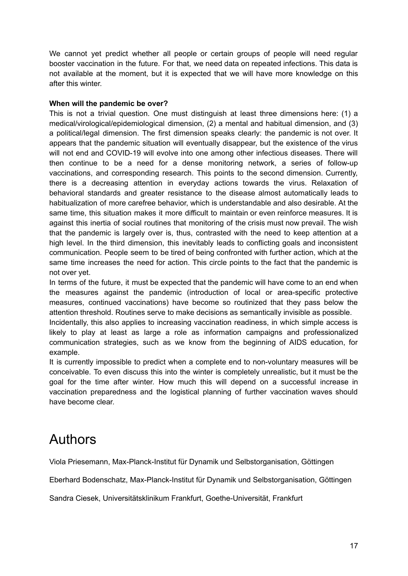We cannot yet predict whether all people or certain groups of people will need regular booster vaccination in the future. For that, we need data on repeated infections. This data is not available at the moment, but it is expected that we will have more knowledge on this after this winter.

#### **When will the pandemic be over?**

This is not a trivial question. One must distinguish at least three dimensions here: (1) a medical/virological/epidemiological dimension, (2) a mental and habitual dimension, and (3) a political/legal dimension. The first dimension speaks clearly: the pandemic is not over. It appears that the pandemic situation will eventually disappear, but the existence of the virus will not end and COVID-19 will evolve into one among other infectious diseases. There will then continue to be a need for a dense monitoring network, a series of follow-up vaccinations, and corresponding research. This points to the second dimension. Currently, there is a decreasing attention in everyday actions towards the virus. Relaxation of behavioral standards and greater resistance to the disease almost automatically leads to habitualization of more carefree behavior, which is understandable and also desirable. At the same time, this situation makes it more difficult to maintain or even reinforce measures. It is against this inertia of social routines that monitoring of the crisis must now prevail. The wish that the pandemic is largely over is, thus, contrasted with the need to keep attention at a high level. In the third dimension, this inevitably leads to conflicting goals and inconsistent communication. People seem to be tired of being confronted with further action, which at the same time increases the need for action. This circle points to the fact that the pandemic is not over yet.

In terms of the future, it must be expected that the pandemic will have come to an end when the measures against the pandemic (introduction of local or area-specific protective measures, continued vaccinations) have become so routinized that they pass below the attention threshold. Routines serve to make decisions as semantically invisible as possible.

Incidentally, this also applies to increasing vaccination readiness, in which simple access is likely to play at least as large a role as information campaigns and professionalized communication strategies, such as we know from the beginning of AIDS education, for example.

It is currently impossible to predict when a complete end to non-voluntary measures will be conceivable. To even discuss this into the winter is completely unrealistic, but it must be the goal for the time after winter. How much this will depend on a successful increase in vaccination preparedness and the logistical planning of further vaccination waves should have become clear.

# Authors

Viola Priesemann, Max-Planck-Institut für Dynamik und Selbstorganisation, Göttingen

Eberhard Bodenschatz, Max-Planck-Institut für Dynamik und Selbstorganisation, Göttingen

Sandra Ciesek, Universitätsklinikum Frankfurt, Goethe-Universität, Frankfurt